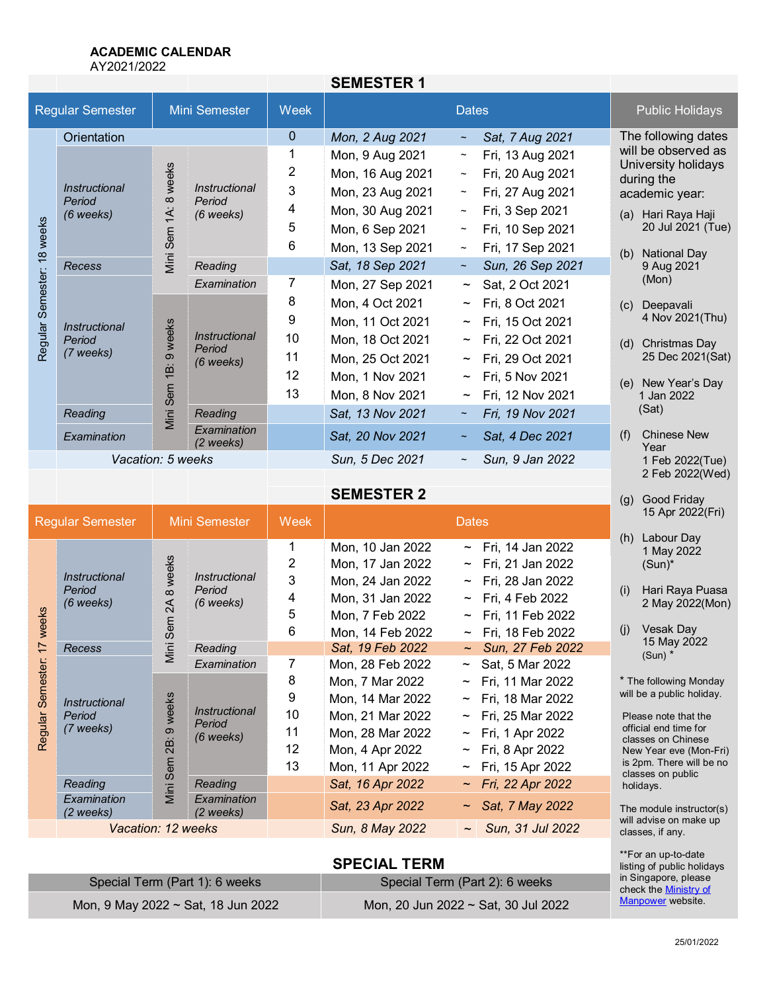# **ACADEMIC CALENDAR**

AY2021/2022

|                               |                                                    |                                                |                                                                 |                 | <b>SEMESTER 1</b> |                           |                  |                                                          |                            |
|-------------------------------|----------------------------------------------------|------------------------------------------------|-----------------------------------------------------------------|-----------------|-------------------|---------------------------|------------------|----------------------------------------------------------|----------------------------|
| <b>Regular Semester</b>       |                                                    |                                                | Mini Semester                                                   | Week            |                   | <b>Dates</b>              |                  |                                                          | <b>Public Holidays</b>     |
| 18 weeks<br>Regular Semester: | Orientation                                        |                                                |                                                                 | 0               | Mon, 2 Aug 2021   | $\sim$                    | Sat, 7 Aug 2021  | The following dates                                      |                            |
|                               | Instructional<br>Period<br>$(6$ weeks)             | weeks<br>$\infty$<br>$\ddot{A}$<br>Sem<br>Mini | <i><b>Instructional</b></i><br>Period<br>$(6$ weeks)            |                 | Mon, 9 Aug 2021   | $\thicksim$               | Fri, 13 Aug 2021 | will be observed as<br>University holidays<br>during the |                            |
|                               |                                                    |                                                |                                                                 | 2               | Mon, 16 Aug 2021  | $\widetilde{\phantom{m}}$ | Fri, 20 Aug 2021 |                                                          |                            |
|                               |                                                    |                                                |                                                                 | 3               | Mon, 23 Aug 2021  | $\widetilde{\phantom{m}}$ | Fri, 27 Aug 2021 |                                                          | academic year:             |
|                               |                                                    |                                                |                                                                 | 4               | Mon, 30 Aug 2021  | $\thicksim$               | Fri, 3 Sep 2021  |                                                          | (a) Hari Raya Haji         |
|                               |                                                    |                                                |                                                                 | 5               | Mon, 6 Sep 2021   | $\tilde{}$                | Fri, 10 Sep 2021 | 20 Jul 2021 (Tue)                                        |                            |
|                               |                                                    |                                                |                                                                 | 6               | Mon, 13 Sep 2021  | $\widetilde{\phantom{m}}$ | Fri, 17 Sep 2021 | <b>National Day</b><br>(b)                               |                            |
|                               | <b>Recess</b>                                      |                                                | Reading                                                         |                 | Sat, 18 Sep 2021  | $\widetilde{\phantom{m}}$ | Sun, 26 Sep 2021 |                                                          | 9 Aug 2021                 |
|                               | <i><b>Instructional</b></i><br>Period<br>(7 weeks) | weeks<br>σ<br>ίB:                              | Examination                                                     | 7               | Mon, 27 Sep 2021  | $\thicksim$               | Sat, 2 Oct 2021  |                                                          | (Mon)                      |
|                               |                                                    |                                                | <i><b>Instructional</b></i><br>Period<br>$(6$ weeks)<br>Reading | 8               | Mon, 4 Oct 2021   | $\thicksim$               | Fri, 8 Oct 2021  |                                                          | (c) Deepavali              |
|                               |                                                    |                                                |                                                                 | 9               | Mon, 11 Oct 2021  | $\widetilde{\phantom{m}}$ | Fri, 15 Oct 2021 | 4 Nov 2021(Thu)                                          |                            |
|                               |                                                    |                                                |                                                                 | 10              | Mon, 18 Oct 2021  | $\sim$                    | Fri, 22 Oct 2021 |                                                          | (d) Christmas Day          |
|                               |                                                    |                                                |                                                                 | 11              | Mon, 25 Oct 2021  | $\tilde{\phantom{a}}$     | Fri, 29 Oct 2021 |                                                          | 25 Dec 2021(Sat)           |
|                               |                                                    |                                                |                                                                 | 12              | Mon, 1 Nov 2021   | $\thicksim$               | Fri, 5 Nov 2021  |                                                          | (e) New Year's Day         |
|                               |                                                    |                                                |                                                                 | 13              | Mon, 8 Nov 2021   | $\tilde{\phantom{0}}$     | Fri, 12 Nov 2021 | 1 Jan 2022                                               |                            |
|                               | Reading                                            | Mini Sem                                       |                                                                 |                 | Sat, 13 Nov 2021  | $\sim$                    | Fri, 19 Nov 2021 | (Sat)                                                    |                            |
|                               | Examination                                        |                                                | Examination<br>$(2 \text{ weeks})$                              |                 | Sat, 20 Nov 2021  | $\sim$                    | Sat, 4 Dec 2021  | (f)                                                      | <b>Chinese New</b><br>Year |
|                               | Vacation: 5 weeks                                  |                                                |                                                                 | Sun, 5 Dec 2021 | $\thicksim$       | Sun, 9 Jan 2022           |                  | 1 Feb 2022(Tue)                                          |                            |
|                               |                                                    |                                                |                                                                 |                 |                   |                           |                  |                                                          | 2 Feb 2022(Wed)            |

**SEMESTER 2**

|                                    |                                                                  |                                                     |                                                            | SEMESTER 2                          |                                                                                                                                        |                                                                                                                                                                            | Good Friday<br>(g)                                                                                                                                                                                                            |
|------------------------------------|------------------------------------------------------------------|-----------------------------------------------------|------------------------------------------------------------|-------------------------------------|----------------------------------------------------------------------------------------------------------------------------------------|----------------------------------------------------------------------------------------------------------------------------------------------------------------------------|-------------------------------------------------------------------------------------------------------------------------------------------------------------------------------------------------------------------------------|
| Regular Semester                   |                                                                  | Mini Semester                                       |                                                            | Week                                |                                                                                                                                        | <b>Dates</b>                                                                                                                                                               | 15 Apr 2022(Fri)                                                                                                                                                                                                              |
| weeks<br>7<br>Semester:<br>Regular | <i>Instructional</i><br>Period<br>(6 weeks)                      | weeks<br>$\infty$<br>$\mathbb A$<br>۴ë<br>Ō<br>Mini | <i>Instructional</i><br>Period<br>(6 weeks)                | 2<br>3<br>4<br>5                    | Mon, 10 Jan 2022<br>Mon, 17 Jan 2022<br>Mon, 24 Jan 2022<br>Mon, 31 Jan 2022<br>Mon, 7 Feb 2022                                        | ~ Fri, 14 Jan 2022<br>~ Fri, 21 Jan 2022<br>~ Fri, 28 Jan 2022<br>$\sim$ Fri, 4 Feb 2022<br>~ Fri, 11 Feb 2022                                                             | Labour Day<br>(h)<br>1 May 2022<br>$(Sun)^*$<br>Hari Raya Puasa<br>(i)<br>2 May 2022(Mon)<br>Vesak Day<br>(i)                                                                                                                 |
|                                    | Recess                                                           |                                                     | Reading                                                    | 6                                   | Mon, 14 Feb 2022<br>Sat, 19 Feb 2022                                                                                                   | ~ Fri, 18 Feb 2022<br>$\sim$ Sun, 27 Feb 2022                                                                                                                              | 15 May 2022                                                                                                                                                                                                                   |
|                                    | <i>Instructional</i><br>Period<br>(7 weeks)                      | weeks<br>ග<br>$\ddot{a}$<br>Sem                     | Examination<br><i>Instructional</i><br>Period<br>(6 weeks) | 7<br>8<br>9<br>10<br>11<br>12<br>13 | Mon, 28 Feb 2022<br>Mon, 7 Mar 2022<br>Mon, 14 Mar 2022<br>Mon, 21 Mar 2022<br>Mon, 28 Mar 2022<br>Mon, 4 Apr 2022<br>Mon, 11 Apr 2022 | $\sim$ Sat, 5 Mar 2022<br>Fri, 11 Mar 2022<br>$\thicksim$<br>~ Fri, 18 Mar 2022<br>~ Fri, 25 Mar 2022<br>~ Fri, 1 Apr 2022<br>$\sim$ Fri, 8 Apr 2022<br>~ Fri, 15 Apr 2022 | $(Sun)$ <sup>*</sup><br>* The following Monday<br>will be a public holiday.<br>Please note that the<br>official end time for<br>classes on Chinese<br>New Year eve (Mon-Fri)<br>is 2pm. There will be no<br>classes on public |
|                                    | Reading<br>Examination                                           | Mini                                                | Reading<br>Examination                                     |                                     | Sat, 16 Apr 2022<br>Sat, 23 Apr 2022                                                                                                   | ~ Fri, 22 Apr 2022<br>$\sim$ Sat, 7 May 2022                                                                                                                               | holidays.<br>The module instructor(s)                                                                                                                                                                                         |
|                                    | $(2 \text{ weeks})$<br>$(2 \text{ weeks})$<br>Vacation: 12 weeks |                                                     |                                                            | Sun, 8 May 2022                     | $\sim$ Sun, 31 Jul 2022                                                                                                                | will advise on make up<br>classes, if any.                                                                                                                                 |                                                                                                                                                                                                                               |

# **SPECIAL TERM**

| Special Term (Part 1): 6 weeks     | Special Term (Part 2): 6 weeks        |
|------------------------------------|---------------------------------------|
| Mon, 9 May 2022 ~ Sat, 18 Jun 2022 | Mon, 20 Jun 2022 ~ Sat, 30 Jul 2022 \ |

25/01/2022

\*\*For an up-to-date listing of public holidays in Singapore, please check the **Ministry of** [Manpower](http://www.mom.gov.sg/employment-practices/leave-and-holidays/pages/public-holidays-2015.aspx) website.